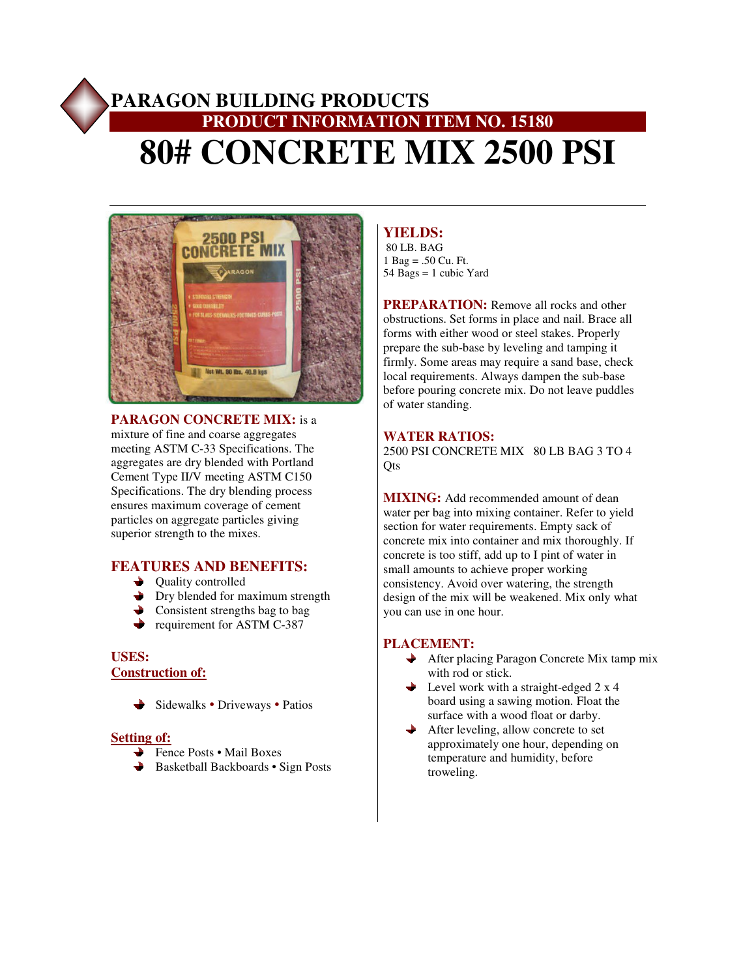# **PARAGON BUILDING PRODUCTS PRODUCT INFORMATION ITEM NO. 15180 80# CONCRETE MIX 2500 PSI**



**PARAGON CONCRETE MIX:** is a mixture of fine and coarse aggregates meeting ASTM C-33 Specifications. The aggregates are dry blended with Portland Cement Type II/V meeting ASTM C150 Specifications. The dry blending process ensures maximum coverage of cement particles on aggregate particles giving superior strength to the mixes.

## **FEATURES AND BENEFITS:**

- $\rightarrow$  Quality controlled
- Dry blended for maximum strength
- Consistent strengths bag to bag
- requirement for ASTM C-387

## **USES: Construction of:**

Sidewalks • Driveways • Patios  $\rightarrow$ 

#### **Setting of:**

- **→** Fence Posts Mail Boxes
- **Basketball Backboards Sign Posts**

# **YIELDS:**

 80 LB. BAG 1 Bag = .50 Cu. Ft.  $54$  Bags = 1 cubic Yard

**PREPARATION:** Remove all rocks and other obstructions. Set forms in place and nail. Brace all forms with either wood or steel stakes. Properly prepare the sub-base by leveling and tamping it firmly. Some areas may require a sand base, check local requirements. Always dampen the sub-base before pouring concrete mix. Do not leave puddles of water standing.

#### **WATER RATIOS:**

2500 PSI CONCRETE MIX 80 LB BAG 3 TO 4 Qts

**MIXING:** Add recommended amount of dean water per bag into mixing container. Refer to yield section for water requirements. Empty sack of concrete mix into container and mix thoroughly. If concrete is too stiff, add up to I pint of water in small amounts to achieve proper working consistency. Avoid over watering, the strength design of the mix will be weakened. Mix only what you can use in one hour.

## **PLACEMENT:**

- **→** After placing Paragon Concrete Mix tamp mix with rod or stick.
- $\rightarrow$  Level work with a straight-edged 2 x 4 board using a sawing motion. Float the surface with a wood float or darby.
- After leveling, allow concrete to set approximately one hour, depending on temperature and humidity, before troweling.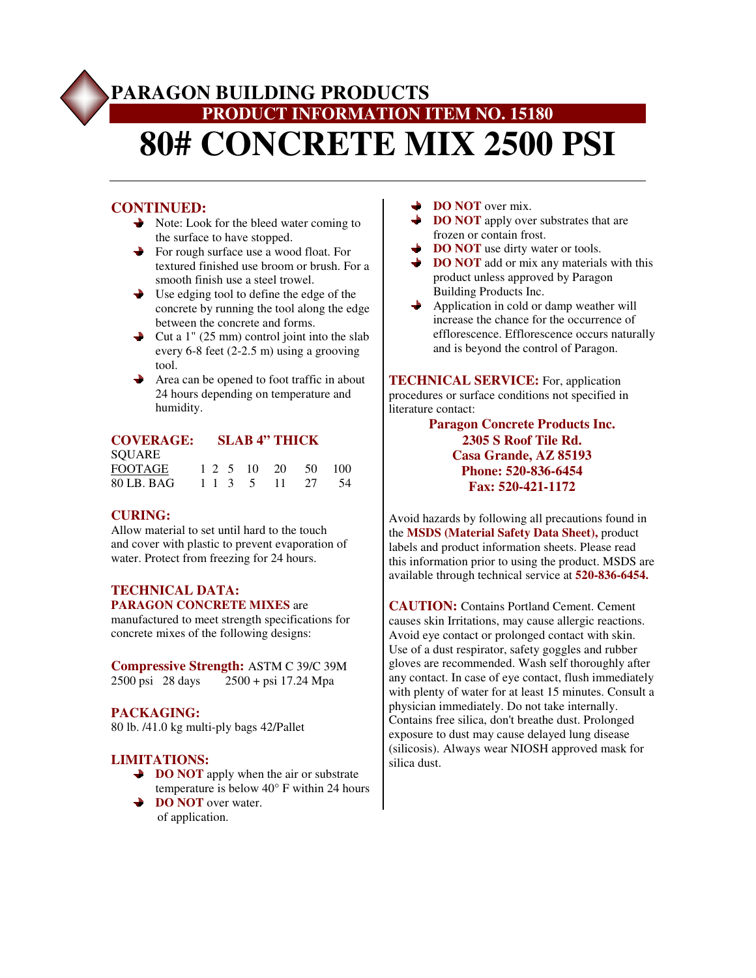# **PARAGON BUILDING PRODUCTS PRODUCT INFORMATION ITEM NO. 15180 80# CONCRETE MIX 2500 PSI**

# **CONTINUED:**

- Note: Look for the bleed water coming to the surface to have stopped.
- For rough surface use a wood float. For textured finished use broom or brush. For a smooth finish use a steel trowel.
- $\rightarrow$  Use edging tool to define the edge of the concrete by running the tool along the edge between the concrete and forms.
- Cut a 1" (25 mm) control joint into the slab every 6-8 feet (2-2.5 m) using a grooving tool.
- $\rightarrow$  Area can be opened to foot traffic in about 24 hours depending on temperature and humidity.

#### **COVERAGE: SLAB 4" THICK**

| <b>SOUARE</b>  |  |  |                    |  |
|----------------|--|--|--------------------|--|
| <b>FOOTAGE</b> |  |  | 1 2 5 10 20 50 100 |  |
| 80 LB. BAG     |  |  | 1 1 3 5 11 27 54   |  |

#### **CURING:**

Allow material to set until hard to the touch and cover with plastic to prevent evaporation of water. Protect from freezing for 24 hours.

## **TECHNICAL DATA: PARAGON CONCRETE MIXES** are

manufactured to meet strength specifications for concrete mixes of the following designs:

**Compressive Strength:** ASTM C 39/C 39M<br>2500 psi 28 days 2500 + psi 17.24 Mpa  $2500 + \text{psi} 17.24 \text{ Mpa}$ 

## **PACKAGING:**

80 lb. /41.0 kg multi-ply bags 42/Pallet

## **LIMITATIONS:**

- **→ DO NOT** apply when the air or substrate temperature is below 40° F within 24 hours
- **→ DO NOT** over water. of application.
- ┶ **DO NOT** over mix.
- **DO NOT** apply over substrates that are frozen or contain frost.
- **→ DO NOT** use dirty water or tools.
- **→ DO NOT** add or mix any materials with this product unless approved by Paragon Building Products Inc.
- $\rightarrow$  Application in cold or damp weather will increase the chance for the occurrence of efflorescence. Efflorescence occurs naturally and is beyond the control of Paragon.

**TECHNICAL SERVICE:** For, application procedures or surface conditions not specified in literature contact:

## **Paragon Concrete Products Inc. 2305 S Roof Tile Rd. Casa Grande, AZ 85193 Phone: 520-836-6454 Fax: 520-421-1172**

Avoid hazards by following all precautions found in the **MSDS (Material Safety Data Sheet),** product labels and product information sheets. Please read this information prior to using the product. MSDS are available through technical service at **520-836-6454.**

**CAUTION:** Contains Portland Cement. Cement causes skin Irritations, may cause allergic reactions. Avoid eye contact or prolonged contact with skin. Use of a dust respirator, safety goggles and rubber gloves are recommended. Wash self thoroughly after any contact. In case of eye contact, flush immediately with plenty of water for at least 15 minutes. Consult a physician immediately. Do not take internally. Contains free silica, don't breathe dust. Prolonged exposure to dust may cause delayed lung disease (silicosis). Always wear NIOSH approved mask for silica dust.